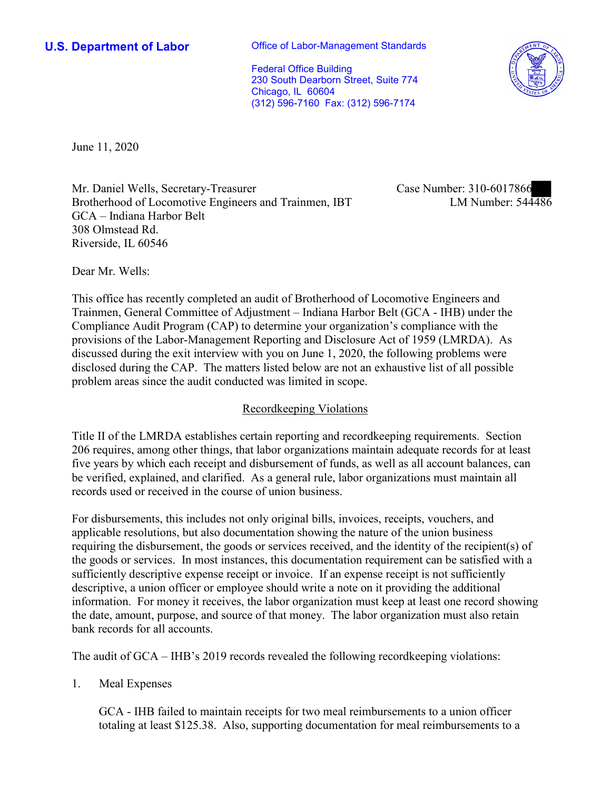**U.S. Department of Labor Conservative Conservative Conservative Conservative U.S.** Department of Labor

Federal Office Building 230 South Dearborn Street, Suite 774 Chicago, IL 60604 (312) 596-7160 Fax: (312) 596-7174



June 11, 2020

 GCA – Indiana Harbor Belt Mr. Daniel Wells, Secretary-Treasurer Brotherhood of Locomotive Engineers and Trainmen, IBT 308 Olmstead Rd. Riverside, IL 60546

Case Number: 310-6017866<br>LM Number: 544486

Dear Mr. Wells:

 This office has recently completed an audit of Brotherhood of Locomotive Engineers and Trainmen, General Committee of Adjustment – Indiana Harbor Belt (GCA - IHB) under the Compliance Audit Program (CAP) to determine your organization's compliance with the provisions of the Labor-Management Reporting and Disclosure Act of 1959 (LMRDA). As discussed during the exit interview with you on June 1, 2020, the following problems were disclosed during the CAP. The matters listed below are not an exhaustive list of all possible problem areas since the audit conducted was limited in scope.

## Recordkeeping Violations

 Title II of the LMRDA establishes certain reporting and recordkeeping requirements. Section 206 requires, among other things, that labor organizations maintain adequate records for at least five years by which each receipt and disbursement of funds, as well as all account balances, can be verified, explained, and clarified. As a general rule, labor organizations must maintain all records used or received in the course of union business.

For disbursements, this includes not only original bills, invoices, receipts, vouchers, and applicable resolutions, but also documentation showing the nature of the union business requiring the disbursement, the goods or services received, and the identity of the recipient(s) of the goods or services. In most instances, this documentation requirement can be satisfied with a sufficiently descriptive expense receipt or invoice. If an expense receipt is not sufficiently descriptive, a union officer or employee should write a note on it providing the additional information. For money it receives, the labor organization must keep at least one record showing the date, amount, purpose, and source of that money. The labor organization must also retain bank records for all accounts.

The audit of GCA – IHB's 2019 records revealed the following recordkeeping violations:

1. Meal Expenses

GCA - IHB failed to maintain receipts for two meal reimbursements to a union officer totaling at least \$125.38. Also, supporting documentation for meal reimbursements to a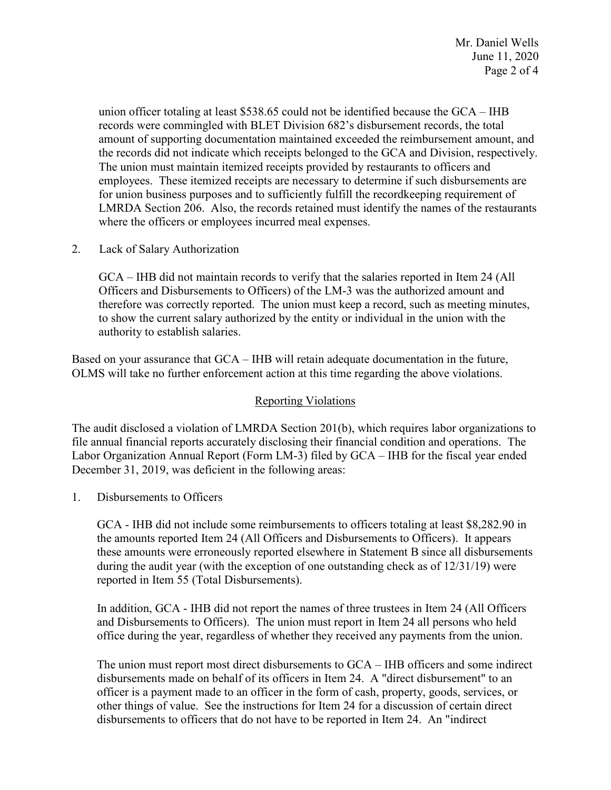union officer totaling at least \$538.65 could not be identified because the GCA – IHB where the officers or employees incurred meal expenses.<br>2. Lack of Salary Authorization records were commingled with BLET Division 682's disbursement records, the total amount of supporting documentation maintained exceeded the reimbursement amount, and the records did not indicate which receipts belonged to the GCA and Division, respectively. The union must maintain itemized receipts provided by restaurants to officers and employees. These itemized receipts are necessary to determine if such disbursements are for union business purposes and to sufficiently fulfill the recordkeeping requirement of LMRDA Section 206. Also, the records retained must identify the names of the restaurants

GCA – IHB did not maintain records to verify that the salaries reported in Item 24 (All Officers and Disbursements to Officers) of the LM-3 was the authorized amount and therefore was correctly reported. The union must keep a record, such as meeting minutes, to show the current salary authorized by the entity or individual in the union with the authority to establish salaries.

Based on your assurance that GCA – IHB will retain adequate documentation in the future, OLMS will take no further enforcement action at this time regarding the above violations.

## Reporting Violations

 Labor Organization Annual Report (Form LM-3) filed by GCA – IHB for the fiscal year ended December 31, 2019, was deficient in the following areas: 1. Disbursements to Officers The audit disclosed a violation of LMRDA Section 201(b), which requires labor organizations to file annual financial reports accurately disclosing their financial condition and operations. The

 during the audit year (with the exception of one outstanding check as of 12/31/19) were GCA - IHB did not include some reimbursements to officers totaling at least [\\$8,282.90](https://8,282.90) in the amounts reported Item 24 (All Officers and Disbursements to Officers). It appears these amounts were erroneously reported elsewhere in Statement B since all disbursements reported in Item 55 (Total Disbursements).

In addition, GCA - IHB did not report the names of three trustees in Item 24 (All Officers and Disbursements to Officers). The union must report in Item 24 all persons who held office during the year, regardless of whether they received any payments from the union.

The union must report most direct disbursements to GCA – IHB officers and some indirect disbursements made on behalf of its officers in Item 24. A "direct disbursement" to an officer is a payment made to an officer in the form of cash, property, goods, services, or other things of value. See the instructions for Item 24 for a discussion of certain direct disbursements to officers that do not have to be reported in Item 24. An "indirect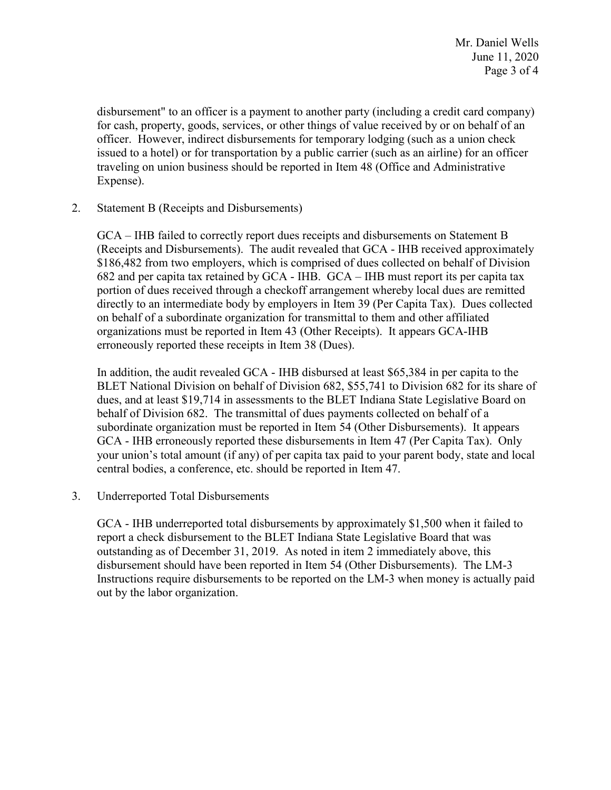issued to a hotel) or for transportation by a public carrier (such as an airline) for an officer disbursement" to an officer is a payment to another party (including a credit card company) for cash, property, goods, services, or other things of value received by or on behalf of an officer. However, indirect disbursements for temporary lodging (such as a union check traveling on union business should be reported in Item 48 (Office and Administrative Expense).

2. Statement B (Receipts and Disbursements)

 (Receipts and Disbursements). The audit revealed that GCA - IHB received approximately 682 and per capita tax retained by GCA - IHB. GCA – IHB must report its per capita tax directly to an intermediate body by employers in Item 39 (Per Capita Tax). Dues collected GCA – IHB failed to correctly report dues receipts and disbursements on Statement B \$186,482 from two employers, which is comprised of dues collected on behalf of Division portion of dues received through a checkoff arrangement whereby local dues are remitted on behalf of a subordinate organization for transmittal to them and other affiliated organizations must be reported in Item 43 (Other Receipts). It appears GCA-IHB erroneously reported these receipts in Item 38 (Dues).

 your union's total amount (if any) of per capita tax paid to your parent body, state and local In addition, the audit revealed GCA - IHB disbursed at least \$65,384 in per capita to the BLET National Division on behalf of Division 682, \$55,741 to Division 682 for its share of dues, and at least \$19,714 in assessments to the BLET Indiana State Legislative Board on behalf of Division 682. The transmittal of dues payments collected on behalf of a subordinate organization must be reported in Item 54 (Other Disbursements). It appears GCA - IHB erroneously reported these disbursements in Item 47 (Per Capita Tax). Only central bodies, a conference, etc. should be reported in Item 47.

3. Underreported Total Disbursements

 report a check disbursement to the BLET Indiana State Legislative Board that was GCA - IHB underreported total disbursements by approximately \$1,500 when it failed to outstanding as of December 31, 2019. As noted in item 2 immediately above, this disbursement should have been reported in Item 54 (Other Disbursements). The LM-3 Instructions require disbursements to be reported on the LM-3 when money is actually paid out by the labor organization.